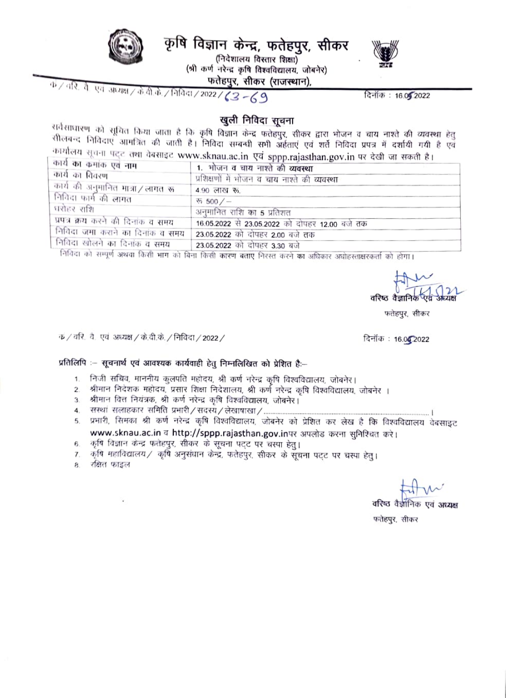

कृषि विज्ञान केन्द्र, फतेहपुर, सीकर

(निदेशालय विस्तार शिक्षा) (श्री कर्ण नरेन्द्र कृषि विश्वविद्यालय, जोबनेर) फतेहपुर, सीकर (राजस्थान),



दिनॉक: 16.05.2022

क/ तरि. ते. एवं अध्यक्ष/के.वी.के./निविदा/2022/(3-69

## खुली निविदा सूचना

सर्वसाधारण को सूचित किया जाता है कि कृषि विज्ञान केन्द्र फतेहपुर, सीकर द्वारा भोजन व चाय नाश्ते की व्यवस्था हेतु सीलबन्द निविदाएं आमंत्रित की जाती है। निविदा सम्बन्धी सभी अर्हताएं एवं शर्ते निविदा प्रपत्र में दर्शायी गयी है एवं कार्यालय सूचना पट्ट तथा वेबसाइट www.sknau.ac.in एवं sppp.rajasthan.gov.in पर देखी जा सकती है।

| कार्य का कमांक एवं नाम                                                                                                                                                                                                                                                                                                                                                       | $\mathbf{r}$ , and the function of the context context of the context of the context of the context of the context of the context of the context of the context of the context of the context of the context of the context of th<br>1.  भोजन व चाय नाश्ते की व्यवस्था |
|------------------------------------------------------------------------------------------------------------------------------------------------------------------------------------------------------------------------------------------------------------------------------------------------------------------------------------------------------------------------------|------------------------------------------------------------------------------------------------------------------------------------------------------------------------------------------------------------------------------------------------------------------------|
| कार्य का विवरण                                                                                                                                                                                                                                                                                                                                                               | प्रशिक्षणों में भोजन व चाय नाश्ते की व्यवस्था                                                                                                                                                                                                                          |
| कार्य की अनुमानित मात्रा/लागत रू                                                                                                                                                                                                                                                                                                                                             | 4.90 लाख रू.                                                                                                                                                                                                                                                           |
| निविदा फार्म की लागत                                                                                                                                                                                                                                                                                                                                                         | ৰ্জ 500 / $-$                                                                                                                                                                                                                                                          |
| धरोहर राशि                                                                                                                                                                                                                                                                                                                                                                   | अनुमानित राशि का 5 प्रतिशत                                                                                                                                                                                                                                             |
| प्रपत्र क्रय करने की दिनांक व समय                                                                                                                                                                                                                                                                                                                                            | 16.05.2022 से 23.05.2022 को दोपहर 12.00 बजे तक                                                                                                                                                                                                                         |
| । निविदा जमा कराने का दिनांक व समय                                                                                                                                                                                                                                                                                                                                           | 23.05.2022 को दोपहर 2.00 बजे तक                                                                                                                                                                                                                                        |
| निविदा खोलने का दिनांक व समय<br>$\wedge$ $\wedge$ $\wedge$ $\wedge$ $\wedge$ $\wedge$ $\wedge$ $\wedge$ $\wedge$ $\wedge$ $\wedge$ $\wedge$ $\wedge$ $\wedge$ $\wedge$ $\wedge$ $\wedge$ $\wedge$ $\wedge$ $\wedge$ $\wedge$ $\wedge$ $\wedge$ $\wedge$ $\wedge$ $\wedge$ $\wedge$ $\wedge$ $\wedge$ $\wedge$ $\wedge$ $\wedge$ $\wedge$ $\wedge$ $\wedge$ $\wedge$ $\wedge$ | 23.05.2022 को दोपहर 3.30 बजे                                                                                                                                                                                                                                           |

निविदा को सम्पूर्ण अथवा किसी भाग को बिना किसी कारण बताए निरस्त करने का अधिकार अधोहस्ताक्षरकर्ता को होगा।

वरिष्ठ वैज्ञानिक

फतेहपुर, सीकर

 $\Phi$  / वरि. वै. एवं अध्यक्ष / के.वी.के. / निविदा / 2022 /

दिनॉक : 16.04.2022

## प्रतिलिपि :-- सूचनार्थ एवं आवश्यक कार्यवाही हेतु निम्नलिखित को प्रेशित है:--

- 1. निजी सचिव, माननीय कुलपति महोदय, श्री कर्ण नरेन्द्र कृषि विश्वविद्यालय, जोबनेर।
- 2. श्रीमान निदेशक महोदय, प्रसार शिक्षा निदेशालय, श्री कर्ण नरेन्द्र कृषि विश्वविद्यालय, जोबनेर ।
- 3. श्रीमान वित्त नियंत्रक, श्री कर्ण नरेन्द्र कृषि विश्वविद्यालय, जोबनेर।
- 
- www.sknau.ac.in व http://sppp.rajasthan.gov.inपर अपलोड करना सुनिश्चित करे।
- 6. कृषि विज्ञान केन्द्र फतेहपुर, सीकर के सूचना पट्ट पर चस्पा हेतु।
- 7. कृषि महाविद्यालय/ कृषि अनुसंधान केन्द्र, फतेहपुर, सीकर के सूचना पट्ट पर चस्पा हेतु।
- रक्षित फाइल 8.

वरिष्ठ वैज्ञानिक एवं अध्यक्ष फतेहपुर, सीकर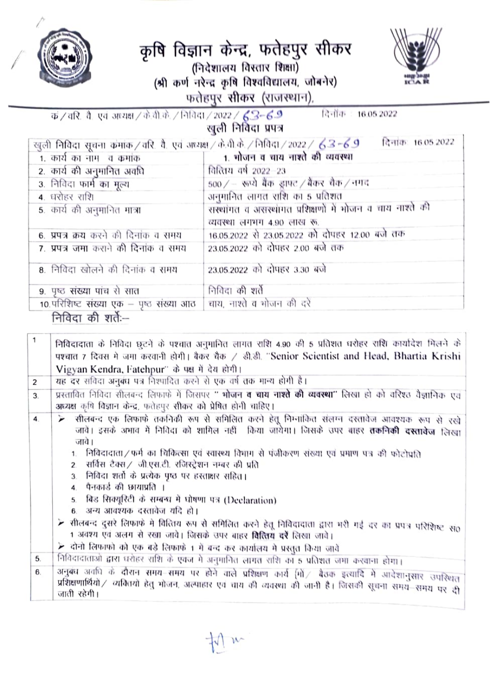

## कृषि विज्ञान केन्द्र, फतेहपुर सीकर (निदेशालय विस्तार शिक्षा) (श्री कर्ण नरेन्द्र कृषि विश्वविद्यालय, जोबनेर) फतेहपुर सीकर (राजस्थान),



क/वरि. वै. एवं अध्यक्ष/के.वी.के./निविदा/2022/ ट्वी 3-6.9 िनोंक 16.05.2022 खली निविदा प्रपत्र

| खुली निविदा सूचना कमांक / वरि. वै. एवं अध्यक्ष / के.वी.के. / निविदा / 2022 / 63 –69 | दिनाक: 16.05.2022                                                                     |
|-------------------------------------------------------------------------------------|---------------------------------------------------------------------------------------|
| 1. कार्य का नाम -व कमांक                                                            | 1. भोजन व चाय नाश्ते की व्यवस्था                                                      |
| 2. कार्य की अनुमानित अवधि                                                           | वित्तिय वर्ष 2022-23                                                                  |
| 3. निविदा फार्म का मूल्य                                                            | 500 / - रूप्ये बैंक ड्राफ्ट / बैंकर चैंक / नगद                                        |
| 4. धरोहर राशि                                                                       | अनुमानित लागत राशि का 5 प्रतिशत                                                       |
| 5. कार्य की अनुमानित मात्रा                                                         | सरथांगत व असरथांगत प्रशिक्षणों में भोजन व चाय नाश्ते की<br>व्यवस्था लगभग 4.90 लाख रू. |
| 6. प्रपत्र क्रय करने की दिनांक व समय                                                | 16.05.2022 से 23.05.2022 को दोपहर 12.00 बजे तक                                        |
| 7. प्रपत्र जमा कराने की दिनांक व समय                                                | 23.05.2022 को दोपहर 2.00 बजे तक                                                       |
| 8. निविदा खोलने की दिनांक व समय                                                     | 23.05.2022 को दोपहर 3.30 बजे                                                          |
| 9. पृष्ठ संख्या पांच से सात                                                         | निविदा की शर्ते                                                                       |
| 10.परिशिष्ट संख्या एक – पृष्ठ संख्या आठ                                             | चाय, नाश्ते व भोजन की दरें                                                            |
| निविदा की शर्तेः—                                                                   |                                                                                       |

1 निविदादाता के निविदा छुटनें के पश्यात अनुमानित लागत राशि 4.90 की 5 प्रतिशत धरोहर राशि कार्यादेश मिलने के पश्चात 7 दिवस मे जमा करवानी होगी। बैकर चैक / डी.डी. "Senior Scientist and Head, Bhartia Krishi Vigyan Kendra, Fatehpur" के पक्ष में देय होगी। यह दर संविदा अनुबंध पत्र निश्पादित करने से एक वर्ष तक मान्य होगी है।  $\overline{c}$ प्रस्तावित निविदा सीलबन्द लिफाफे में जिसपर '' **भोजन व चाय नाश्ते की व्यवस्था**'' लिखा हो को वरिश्ठ वैज्ञानिक एवं 3. अध्यक्ष कृषि विज्ञान केन्द्र, फतेहपुर सीकर को प्रेषित होनी चाहिए। सीलबन्द एक लिफाफे तकनिकी रूप से समिलित करने हेतू निम्नांकित संलग्न दस्तावेज आवश्यक रूप से रखे 4 जावें। इसके अभाव में निविदा को शामिल नहीं किया जायेगा। जिसके उपर बाहर **तकनिकी दस्तावेज** लिखा जावे । 1. निविदादाता / फर्म का चिकित्सा एवं स्वास्थ्य विभाग से पंजीकरण संख्या एवं प्रमाण पत्र की फोटोप्रति सर्विस टैक्स ⁄ जी.एस.टी. रजिस्ट्रेशन नम्बर की प्रति 3. निविदा शर्तो के प्रत्येक पृष्ठ पर हस्ताक्षर सहित। ४. - पैनकार्ड की छायाप्रति । 5. बिड सिक्यूरिटी के सम्बन्ध में घोषणा पत्र (Declaration) 6. अन्य आवश्यक दस्तावेज यदि हो। ⊁ सीलबन्द दूसरे लिफाफे मे वित्तिय रूप से समिलित करने हेतू निविदादाता द्वारा भरी गई दर का प्रपत्र परिशिष्ट संo 1 अवश्य एवं अलग से रखा जावे। जिसके उपर बाहर वित्तिय वरें लिखा जावे। ≻ दोनो लिफाफो को एक बड़े लिफाफें 1 में बन्द कर कार्यालय में प्रस्तुत किया जातें निविदादाताओं द्वारा घरोहर राशि के एवज में अनुमानित लागत राशि का 5 प्रतिशत जमा करवाना होगा। 5. अनुबंध अवधि के दौरान समय-समय पर होने वाले प्रशिक्षण कार्य [गों / बैठक इत्यादि में आदेशानुसार उपस्थित 6. प्रशिक्षणार्थियो / व्यक्तियों हेतु भोजन, अल्पाहार एवं चाय की व्यवस्था की जानी है। जिसकी सूचना समय-समय पर दी जाती रहेगी।

 $\frac{1}{2}$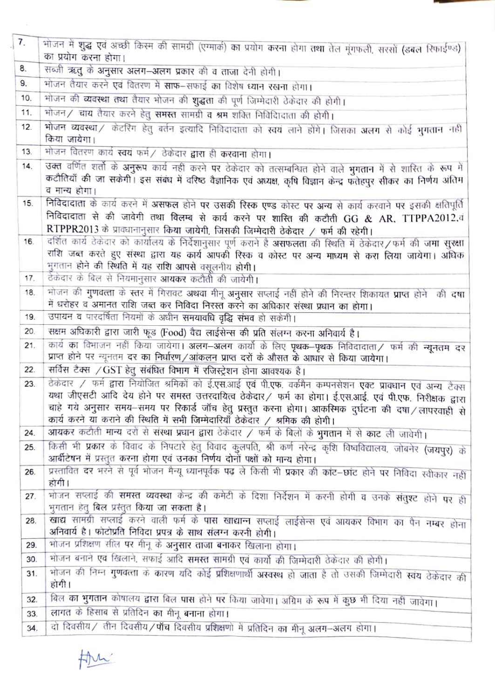| 7 <sub>1</sub> | भोजन में शुद्ध एवं अच्छी किस्म की सामग्री (एग्मार्क) का प्रयोग करना होगा तथा तेल मूंगफली, सरसों (डबल रिफाईण्ड)                                                                                                                                                                                      |  |  |  |
|----------------|-----------------------------------------------------------------------------------------------------------------------------------------------------------------------------------------------------------------------------------------------------------------------------------------------------|--|--|--|
|                | का प्रयोग करना होगा।                                                                                                                                                                                                                                                                                |  |  |  |
| 8.             | सब्जी ऋतु के अनुसार अलग—अलग प्रकार की व ताजा देनी होगी।                                                                                                                                                                                                                                             |  |  |  |
| 9.             | भोजन तैयार करने एवं वितरण में साफ–सफाई का विशेष ध्यान रखना होगा।                                                                                                                                                                                                                                    |  |  |  |
| 10.            | भोजन की व्यवस्था तथा तैयार भोजन की शुद्धता की पूर्ण जिम्मेदारी ठेकेदार की होगी।                                                                                                                                                                                                                     |  |  |  |
| 11.            | भोजन / चाय तैयार करने हेतु <b>समस्त</b> सामग्री व श्रम शक्ति निविदिादाता की होगी।                                                                                                                                                                                                                   |  |  |  |
| 12.            | भोजन व्यवस्था / केटरिंग हेतु बर्तन इत्यादि निविदादाता को स्वयं लाने होंगे। जिसका अलग से कोई भुगतान नहीं<br>किया जायेगा।                                                                                                                                                                             |  |  |  |
| 13.            | भोजन वितरण कार्य <b>स्वयं</b> फर्म / ठेकेदार <b>द्वारा</b> ही <b>करवाना</b> होगा।                                                                                                                                                                                                                   |  |  |  |
| 14.            | उक्त वर्णित शर्तो के अनुरूप कार्य नहीं करने पर ठेकेदार को तत्सम्बन्धित होने वाले भुगतान में से शारित के रूप मे<br>कटौतियाँ की जा सकेगी। इस संबंध में वरिष्ठ वैज्ञानिक एवं अध्यक्ष, कृषि विज्ञान केन्द्र फतेहपुर सीकर का निर्णय अंतिम<br>व मान्य होगा।                                               |  |  |  |
| 15.            | निविदादाता के कार्य करने में असफल होने पर उसकी रिस्क एण्ड कोस्ट पर अन्य से कार्य करवाने पर इसकी क्षतिपूर्ति                                                                                                                                                                                         |  |  |  |
|                | निविदादाता से की जावेगी तथा विलम्ब से कार्य करने पर शास्ति की कटौती GG & AR, TTPPA2012.वं                                                                                                                                                                                                           |  |  |  |
|                | RTPPR2013 के प्रावधानानुसार किया जायेगी, जिसकी जिम्मेदारी ठेकेदार / फर्म की रहेगी।                                                                                                                                                                                                                  |  |  |  |
| 16.            | दर्शित कार्य ठेकेदार को कार्यालय के निर्देशानुसार पूर्ण कराने है <b>असफलता</b> की स्थिति में ठेकेदार/फर्म की ज <b>मा सुरक्षा</b>                                                                                                                                                                    |  |  |  |
|                | राशि जब्त करते हुए संस्था द्वारा यह कार्य आपकी रिस्क व कोस्ट पर अन्य माध्यम से करा लिया जायेगा। अधिक<br>मुगतान होने की स्थिति में यह राशि आपसे वसूलनीय होगी।                                                                                                                                        |  |  |  |
| 17.            | ठेकेदार के बिल से नियमानुसार <b>आयकर</b> कटौती की जायेगी।                                                                                                                                                                                                                                           |  |  |  |
| 18.            | भोजन की गुणवत्ता के स्तर में गिरावट अथवा मीनू अनुसार सप्लाई नहीं होने की निरन्तर शिकायत <b>प्राप्त</b> होने की दषा                                                                                                                                                                                  |  |  |  |
|                | में धरोहर व अमानत राशि जब्त कर निविदा निरस्त करने का अधिकार संस्था प्रधान का होगा।                                                                                                                                                                                                                  |  |  |  |
| 19.            | उपायन व पारदर्षिता नियमों के अधीन समयावधि वृद्धि संभव हो सकेगी।                                                                                                                                                                                                                                     |  |  |  |
| 20.            | सक्षम अधिकारी द्वारा जारी फूड (Food) वैद्य लाईसेन्स की प्रति संलग्न करना अनिवार्य है।                                                                                                                                                                                                               |  |  |  |
| 21.            | कार्य का विभाजन नहीं किया जायेगा। अलग–अलग कार्यों के लिए पृथक–पृथक निविदादाता / फर्म की न्यूनतम दर<br>प्राप्त होने पर न्यूनतम दर का <u>निर्धारण/आंकलन</u> प्राप्त दरों के औसत के आधार से किया जायेगा।                                                                                               |  |  |  |
| 22.            | सर्विस टैक्स / GST हेतु संबंधित विभाग में रजिस्ट्रेशन होना आवश्यक है।                                                                                                                                                                                                                               |  |  |  |
| 23.            | ठेकेदार / फर्म द्वारा नियोजित श्रमिकों को ई.एस.आई एवं पी.एफ. वर्कमैन कम्पनसेशन एक्ट प्रावधान एवं अन्य टैक्स                                                                                                                                                                                         |  |  |  |
|                | यथा जीएसटी आदि देय होने पर समस्त उत्तरदायित्व ठेकेदार / फर्म का होगा। ई.एस.आई. एवं पी.एफ. निरीक्षक द्वारा<br>चाहे गये अनुसार समय-समय पर रिकार्ड जॉच हेतु प्रस्तुत करना होगा। आकस्मिक दुर्घटना की दषा / लापरवाही से<br>कार्य करने या कराने की स्थिति में सभी जिम्मेदारियाँ ठेकेदार / श्रमिक की होगी। |  |  |  |
| 24.            | आयकर कटौती मान्य दरों से संस्था प्रघान द्वारा ठेकेदार / फर्म के बिलों के भुगतान में से काट ली जावेगी।                                                                                                                                                                                               |  |  |  |
| 25.            | किसी भी प्रकार के विवाद के निपटारे हेतु विवाद कुलपति, श्री कर्ण नरेन्द्र कृशि विष्वविद्यालय, जोबनेर (जयपुर) के<br>आर्बीटेषन में प्रस्तुत करना होगा एवं उनका निर्णय दोनों पक्षों को मान्य होगा।                                                                                                      |  |  |  |
| 26.            | प्रस्तावित दर भरने से पूर्व भोजन मैन्यू ध्यानपूर्वक पढ़ ले किसी भी प्रकार की कांट–छांट होने पर निविदा स्वीकार नहीं<br>होगी।                                                                                                                                                                         |  |  |  |
| 27.            | <u>भोजन सप्लाई की <b>समस्त व्यवस्था</b> केन्द्र की कमेटी के दिशा निर्देशन में करनी होगी व उनके संतुश्ट होने पर ही</u>                                                                                                                                                                               |  |  |  |
|                | भूगतान हेतू बिल प्रस्तुत किया जा सकता है।                                                                                                                                                                                                                                                           |  |  |  |
| 28.            | <u>खाद्य सामग्री सप्लाई करने वाली फर्म के पास खाद्यान्न सप्लाई लाईसेन्स एवं आयकर विभाग का पैन नम्बर होना</u><br>अनिवार्य है। फोटोप्रति निविदा प्रपत्र के साथ संलग्न करनी होगी।                                                                                                                      |  |  |  |
| 29.            | भोजन प्रशिक्षण सील पर मीनू के अनुसार ताजा बनाकर खिलाना होगा।                                                                                                                                                                                                                                        |  |  |  |
| 30.            | भोजन बनाने एवं खिलाने, सफाई आदि <b>समस्त साम</b> ग्री एवं कार्यों की जिम्मेदारी ठेकेदार की होगी।                                                                                                                                                                                                    |  |  |  |
| 31.            | भोजन की निम्न गुणवत्ता के कारण यदि कोई प्रशिक्षणार्थी अस्वस्थ हो जाता है तो उसकी जिम्मेदारी स्वयं ठेकेदार की<br>होगी।                                                                                                                                                                               |  |  |  |
| 32.            | बिल का भुगतान कोषालय द्वारा बिल पास होने पर किया जावेगा। अग्रिम के रूप में कुछ भी दिया नहीं जावेगा।                                                                                                                                                                                                 |  |  |  |
| 33.            | लागत के हिसाब से प्रतिदिन का मीनू बनाना होगा।                                                                                                                                                                                                                                                       |  |  |  |
| 34.            | दो दिवसीय / तीन दिवसीय / पाँच दिवसीय प्रशिक्षणों में प्रतिदिन का मीनू अलग-अलग होगा।                                                                                                                                                                                                                 |  |  |  |

the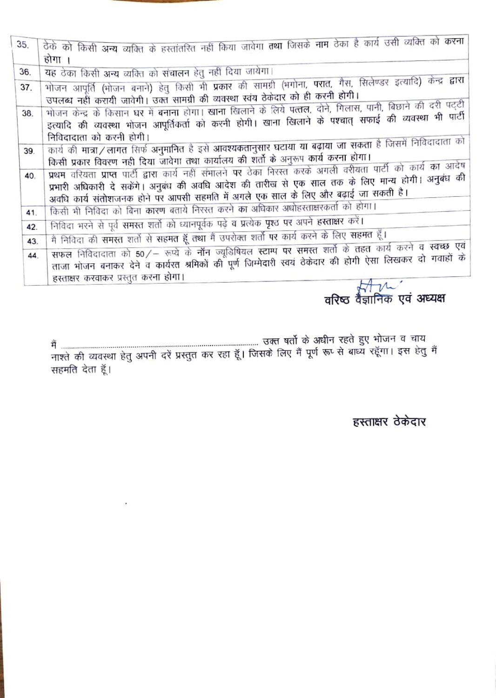| 35. | ठेके को किसी अन्य व्यक्ति के हस्तांतरित नहीं किया जावेगा तथा जिसके नाम ठेका है कार्य उसी व्यक्ति को करना      |  |  |
|-----|---------------------------------------------------------------------------------------------------------------|--|--|
|     | होगा ।                                                                                                        |  |  |
| 36. | यह ठेका किसी अन्य व्यक्ति को संचालन हेतु नहीं दिया जायेगा।                                                    |  |  |
| 37. | भोजन आपूर्ति (भोजन बनाने) हेतु किसी भी प्रकार की सामग्री (भगोना, परात, गैस, सिलेण्डर इत्यादि) केन्द्र द्वारा  |  |  |
|     | उपलब्ध नहीं करायी जावेगी। उक्त सामग्री की व्यवस्था स्वय ठेकेदार को ही करनी होगी।                              |  |  |
| 38. | भोजन केन्द्र के किसान घर में बनाना होगा। खाना खिलाने के लिये पत्तल, दोने, गिलास, पानी, बिछाने की दरी पट्टी    |  |  |
|     | इत्यादि की व्यवस्था भोजन आपूर्तिकर्ता को करनी होगी। खाना खिलाने के पश्चात् सफाई की व्यवस्था भी पार्टी         |  |  |
|     | निविदादाता को करनी होगी।                                                                                      |  |  |
| 39. | कार्य की मात्रा/लागत सिर्फ अनुमानित है इसे आवश्यकतानुसार घटाया या बढ़ाया जा सकता है जिसमें निविदादाता को      |  |  |
|     | किसी प्रकार विवरण नहीं दिया जावेगा तथा कार्यालय की शर्तों के अनुरूप कार्य करना होगा।                          |  |  |
| 40. | प्रथम वरियता प्राप्त पार्टी द्वारा कार्य नहीं संभालने पर ठेका निरस्त करके अगली वरीयता पार्टी को कार्य का आदेष |  |  |
|     | प्रभारी अधिकारी दे सकेंगे। अनुबंध की अवधि आदेश की तारीख से एक साल तक के लिए मान्य होगी। अनुबंध की             |  |  |
|     | अवधि कार्य संतोशजनक होने पर आपसी सहमति में अगले एक साल के लिए और बढ़ाई जा सकती है।                            |  |  |
| 41. | किसी भी निविदा को बिना <b>कारण</b> बताये निरस्त करने <b>का</b> अधिकार अधोहस्ताक्षरकर्ता को होगा।              |  |  |
|     | निविदा भरने से पूर्व समस्त शर्तों को ध्यानपूर्वक पढ़े व प्रत्येक पृश्ठ पर अपने हस्ताक्षर करें।                |  |  |
| 42. | मैं निविदा की समस्त शर्तो से सहमत हूँ तथा मैं उपरोक्त शर्तो पर कार्य करने के लिए सहमत हूँ।                    |  |  |
| 43. |                                                                                                               |  |  |
| 44. | सफल निविदादाता को 50/- रूप्ये के नॉन ज्यूडिषियल स्टाम्प पर समस्त शर्तो के तहत कार्य करने व स्वच्छ एवं         |  |  |
|     | ताजा भोजन बनाकर देने व कार्यरत श्रमिकों की पूर्ण जिम्मेदारी स्वयं ठेकेदार की होगी ऐसा लिखकर दो गवाहों के      |  |  |
|     | हरताक्षर करवाकर प्रस्तुत करना होगा।<br>$\sim$ $\sim$                                                          |  |  |

वरिष्ठ वैज्ञानिक एवं अध्यक्ष

हस्ताक्षर ठेकेदार